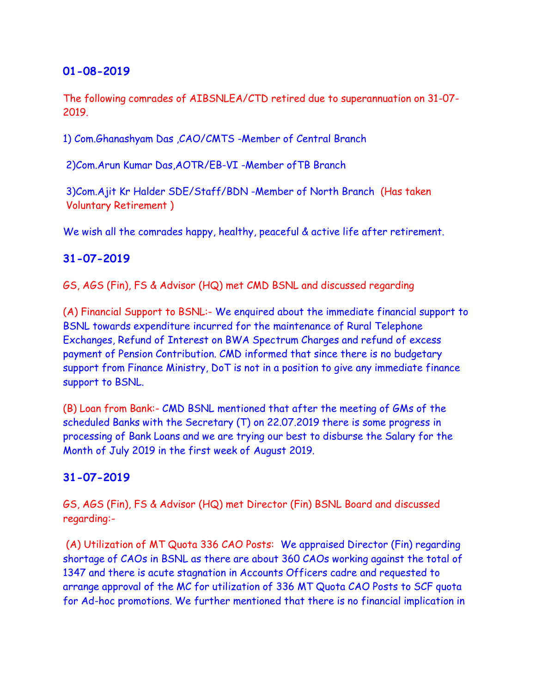## **01-08-2019**

The following comrades of AIBSNLEA/CTD retired due to superannuation on 31-07- 2019.

1) Com.Ghanashyam Das ,CAO/CMTS -Member of Central Branch

2)Com.Arun Kumar Das,AOTR/EB-VI -Member ofTB Branch

3)Com.Ajit Kr Halder SDE/Staff/BDN -Member of North Branch (Has taken Voluntary Retirement )

We wish all the comrades happy, healthy, peaceful & active life after retirement.

## **31-07-2019**

GS, AGS (Fin), FS & Advisor (HQ) met CMD BSNL and discussed regarding

(A) Financial Support to BSNL:- We enquired about the immediate financial support to BSNL towards expenditure incurred for the maintenance of Rural Telephone Exchanges, Refund of Interest on BWA Spectrum Charges and refund of excess payment of Pension Contribution. CMD informed that since there is no budgetary support from Finance Ministry, DoT is not in a position to give any immediate finance support to BSNL.

(B) Loan from Bank:- CMD BSNL mentioned that after the meeting of GMs of the scheduled Banks with the Secretary (T) on 22.07.2019 there is some progress in processing of Bank Loans and we are trying our best to disburse the Salary for the Month of July 2019 in the first week of August 2019.

## **31-07-2019**

GS, AGS (Fin), FS & Advisor (HQ) met Director (Fin) BSNL Board and discussed regarding:-

(A) Utilization of MT Quota 336 CAO Posts: We appraised Director (Fin) regarding shortage of CAOs in BSNL as there are about 360 CAOs working against the total of 1347 and there is acute stagnation in Accounts Officers cadre and requested to arrange approval of the MC for utilization of 336 MT Quota CAO Posts to SCF quota for Ad-hoc promotions. We further mentioned that there is no financial implication in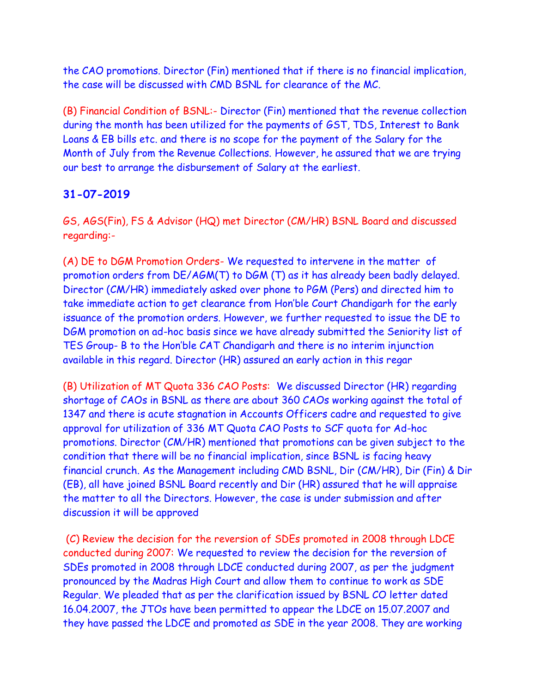the CAO promotions. Director (Fin) mentioned that if there is no financial implication, the case will be discussed with CMD BSNL for clearance of the MC.

(B) Financial Condition of BSNL:- Director (Fin) mentioned that the revenue collection during the month has been utilized for the payments of GST, TDS, Interest to Bank Loans & EB bills etc. and there is no scope for the payment of the Salary for the Month of July from the Revenue Collections. However, he assured that we are trying our best to arrange the disbursement of Salary at the earliest.

## **31-07-2019**

GS, AGS(Fin), FS & Advisor (HQ) met Director (CM/HR) BSNL Board and discussed regarding:-

(A) DE to DGM Promotion Orders- We requested to intervene in the matter of promotion orders from DE/AGM(T) to DGM (T) as it has already been badly delayed. Director (CM/HR) immediately asked over phone to PGM (Pers) and directed him to take immediate action to get clearance from Hon'ble Court Chandigarh for the early issuance of the promotion orders. However, we further requested to issue the DE to DGM promotion on ad-hoc basis since we have already submitted the Seniority list of TES Group- B to the Hon'ble CAT Chandigarh and there is no interim injunction available in this regard. Director (HR) assured an early action in this regar

(B) Utilization of MT Quota 336 CAO Posts: We discussed Director (HR) regarding shortage of CAOs in BSNL as there are about 360 CAOs working against the total of 1347 and there is acute stagnation in Accounts Officers cadre and requested to give approval for utilization of 336 MT Quota CAO Posts to SCF quota for Ad-hoc promotions. Director (CM/HR) mentioned that promotions can be given subject to the condition that there will be no financial implication, since BSNL is facing heavy financial crunch. As the Management including CMD BSNL, Dir (CM/HR), Dir (Fin) & Dir (EB), all have joined BSNL Board recently and Dir (HR) assured that he will appraise the matter to all the Directors. However, the case is under submission and after discussion it will be approved

(C) Review the decision for the reversion of SDEs promoted in 2008 through LDCE conducted during 2007: We requested to review the decision for the reversion of SDEs promoted in 2008 through LDCE conducted during 2007, as per the judgment pronounced by the Madras High Court and allow them to continue to work as SDE Regular. We pleaded that as per the clarification issued by BSNL CO letter dated 16.04.2007, the JTOs have been permitted to appear the LDCE on 15.07.2007 and they have passed the LDCE and promoted as SDE in the year 2008. They are working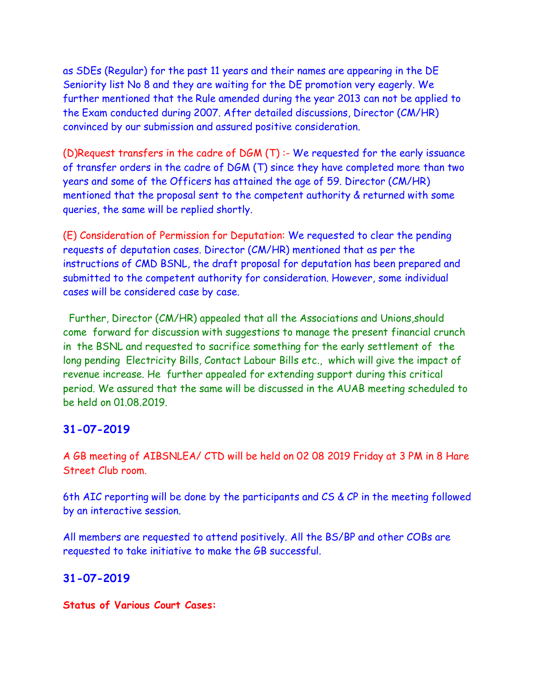as SDEs (Regular) for the past 11 years and their names are appearing in the DE Seniority list No 8 and they are waiting for the DE promotion very eagerly. We further mentioned that the Rule amended during the year 2013 can not be applied to the Exam conducted during 2007. After detailed discussions, Director (CM/HR) convinced by our submission and assured positive consideration.

(D)Request transfers in the cadre of DGM (T) :- We requested for the early issuance of transfer orders in the cadre of DGM (T) since they have completed more than two years and some of the Officers has attained the age of 59. Director (CM/HR) mentioned that the proposal sent to the competent authority & returned with some queries, the same will be replied shortly.

(E) Consideration of Permission for Deputation: We requested to clear the pending requests of deputation cases. Director (CM/HR) mentioned that as per the instructions of CMD BSNL, the draft proposal for deputation has been prepared and submitted to the competent authority for consideration. However, some individual cases will be considered case by case.

 Further, Director (CM/HR) appealed that all the Associations and Unions,should come forward for discussion with suggestions to manage the present financial crunch in the BSNL and requested to sacrifice something for the early settlement of the long pending Electricity Bills, Contact Labour Bills etc., which will give the impact of revenue increase. He further appealed for extending support during this critical period. We assured that the same will be discussed in the AUAB meeting scheduled to be held on 01.08.2019.

### **31-07-2019**

A GB meeting of AIBSNLEA/ CTD will be held on 02 08 2019 Friday at 3 PM in 8 Hare Street Club room.

6th AIC reporting will be done by the participants and CS & CP in the meeting followed by an interactive session.

All members are requested to attend positively. All the BS/BP and other COBs are requested to take initiative to make the GB successful.

# **31-07-2019**

**Status of Various Court Cases:**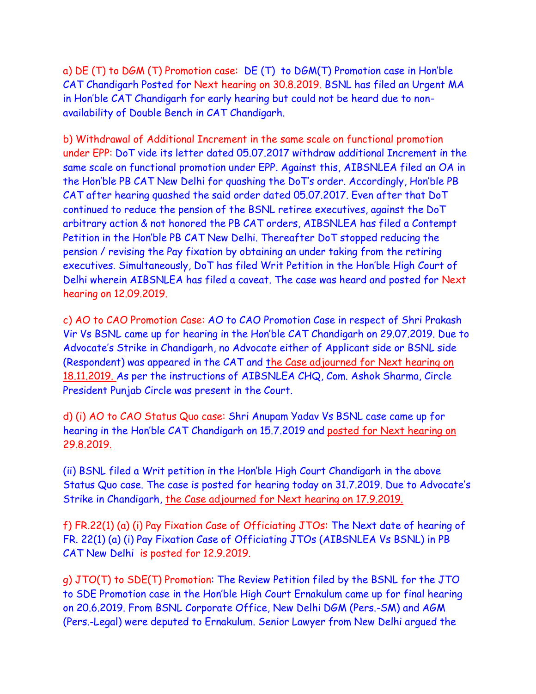a) DE (T) to DGM (T) Promotion case: DE (T) to DGM(T) Promotion case in Hon'ble CAT Chandigarh Posted for Next hearing on 30.8.2019. BSNL has filed an Urgent MA in Hon'ble CAT Chandigarh for early hearing but could not be heard due to nonavailability of Double Bench in CAT Chandigarh.

b) Withdrawal of Additional Increment in the same scale on functional promotion under EPP: DoT vide its letter dated 05.07.2017 withdraw additional Increment in the same scale on functional promotion under EPP. Against this, AIBSNLEA filed an OA in the Hon'ble PB CAT New Delhi for quashing the DoT's order. Accordingly, Hon'ble PB CAT after hearing quashed the said order dated 05.07.2017. Even after that DoT continued to reduce the pension of the BSNL retiree executives, against the DoT arbitrary action & not honored the PB CAT orders, AIBSNLEA has filed a Contempt Petition in the Hon'ble PB CAT New Delhi. Thereafter DoT stopped reducing the pension / revising the Pay fixation by obtaining an under taking from the retiring executives. Simultaneously, DoT has filed Writ Petition in the Hon'ble High Court of Delhi wherein AIBSNLEA has filed a caveat. The case was heard and posted for Next hearing on 12.09.2019.

c) AO to CAO Promotion Case: AO to CAO Promotion Case in respect of Shri Prakash Vir Vs BSNL came up for hearing in the Hon'ble CAT Chandigarh on 29.07.2019. Due to Advocate's Strike in Chandigarh, no Advocate either of Applicant side or BSNL side (Respondent) was appeared in the CAT and the Case adjourned for Next hearing on 18.11.2019. As per the instructions of AIBSNLEA CHQ, Com. Ashok Sharma, Circle President Punjab Circle was present in the Court.

d) (i) AO to CAO Status Quo case: Shri Anupam Yadav Vs BSNL case came up for hearing in the Hon'ble CAT Chandigarh on 15.7.2019 and posted for Next hearing on 29.8.2019.

(ii) BSNL filed a Writ petition in the Hon'ble High Court Chandigarh in the above Status Quo case. The case is posted for hearing today on 31.7.2019. Due to Advocate's Strike in Chandigarh, the Case adjourned for Next hearing on 17.9.2019.

f) FR.22(1) (a) (i) Pay Fixation Case of Officiating JTOs: The Next date of hearing of FR. 22(1) (a) (i) Pay Fixation Case of Officiating JTOs (AIBSNLEA Vs BSNL) in PB CAT New Delhi is posted for 12.9.2019.

g) JTO(T) to SDE(T) Promotion: The Review Petition filed by the BSNL for the JTO to SDE Promotion case in the Hon'ble High Court Ernakulum came up for final hearing on 20.6.2019. From BSNL Corporate Office, New Delhi DGM (Pers.-SM) and AGM (Pers.-Legal) were deputed to Ernakulum. Senior Lawyer from New Delhi argued the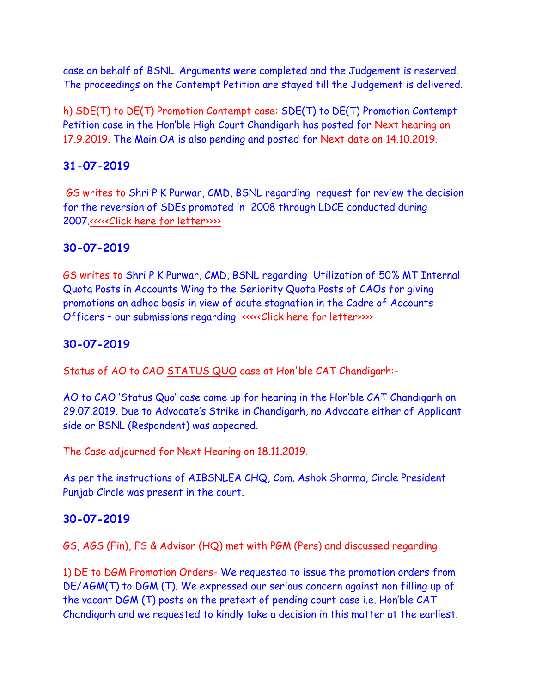case on behalf of BSNL. Arguments were completed and the Judgement is reserved. The proceedings on the Contempt Petition are stayed till the Judgement is delivered.

h) SDE(T) to DE(T) Promotion Contempt case: SDE(T) to DE(T) Promotion Contempt Petition case in the Hon'ble High Court Chandigarh has posted for Next hearing on 17.9.2019. The Main OA is also pending and posted for Next date on 14.10.2019.

## **31-07-2019**

GS writes to Shri P K Purwar, CMD, BSNL regarding request for review the decision for the reversion of SDEs promoted in 2008 through LDCE conducted during 2007.<<<<Click here for letter>>>>>

## **30-07-2019**

GS writes to Shri P K Purwar, CMD, BSNL regarding Utilization of 50% MT Internal Quota Posts in Accounts Wing to the Seniority Quota Posts of CAOs for giving promotions on adhoc basis in view of acute stagnation in the Cadre of Accounts Officers – our submissions regarding [<<<<<Click here for letter>>>>](http://www.aibsnleachq.in/CMD_190730.PDF)

# **30-07-2019**

Status of AO to CAO STATUS QUO case at Hon'ble CAT Chandigarh:-

AO to CAO 'Status Quo' case came up for hearing in the Hon'ble CAT Chandigarh on 29.07.2019. Due to Advocate's Strike in Chandigarh, no Advocate either of Applicant side or BSNL (Respondent) was appeared.

The Case adjourned for Next Hearing on 18.11.2019.

As per the instructions of AIBSNLEA CHQ, Com. Ashok Sharma, Circle President Punjab Circle was present in the court.

## **30-07-2019**

GS, AGS (Fin), FS & Advisor (HQ) met with PGM (Pers) and discussed regarding

1) DE to DGM Promotion Orders- We requested to issue the promotion orders from DE/AGM(T) to DGM (T). We expressed our serious concern against non filling up of the vacant DGM (T) posts on the pretext of pending court case i.e. Hon'ble CAT Chandigarh and we requested to kindly take a decision in this matter at the earliest.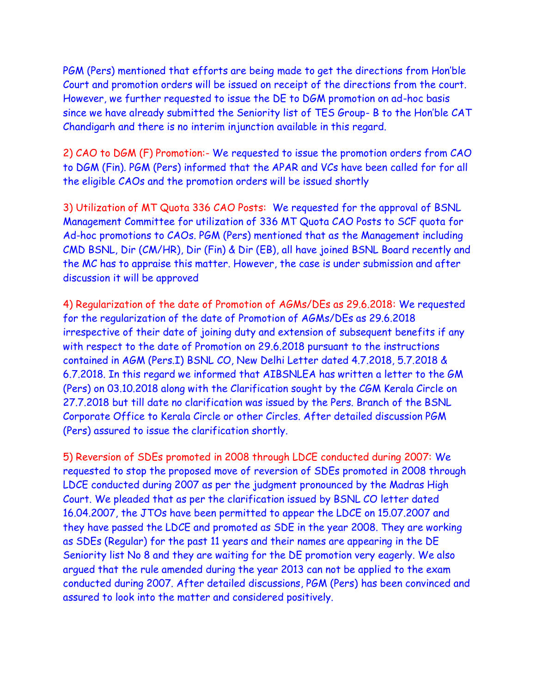PGM (Pers) mentioned that efforts are being made to get the directions from Hon'ble Court and promotion orders will be issued on receipt of the directions from the court. However, we further requested to issue the DE to DGM promotion on ad-hoc basis since we have already submitted the Seniority list of TES Group- B to the Hon'ble CAT Chandigarh and there is no interim injunction available in this regard.

2) CAO to DGM (F) Promotion:- We requested to issue the promotion orders from CAO to DGM (Fin). PGM (Pers) informed that the APAR and VCs have been called for for all the eligible CAOs and the promotion orders will be issued shortly

3) Utilization of MT Quota 336 CAO Posts: We requested for the approval of BSNL Management Committee for utilization of 336 MT Quota CAO Posts to SCF quota for Ad-hoc promotions to CAOs. PGM (Pers) mentioned that as the Management including CMD BSNL, Dir (CM/HR), Dir (Fin) & Dir (EB), all have joined BSNL Board recently and the MC has to appraise this matter. However, the case is under submission and after discussion it will be approved

4) Regularization of the date of Promotion of AGMs/DEs as 29.6.2018: We requested for the regularization of the date of Promotion of AGMs/DEs as 29.6.2018 irrespective of their date of joining duty and extension of subsequent benefits if any with respect to the date of Promotion on 29.6.2018 pursuant to the instructions contained in AGM (Pers.I) BSNL CO, New Delhi Letter dated 4.7.2018, 5.7.2018 & 6.7.2018. In this regard we informed that AIBSNLEA has written a letter to the GM (Pers) on 03.10.2018 along with the Clarification sought by the CGM Kerala Circle on 27.7.2018 but till date no clarification was issued by the Pers. Branch of the BSNL Corporate Office to Kerala Circle or other Circles. After detailed discussion PGM (Pers) assured to issue the clarification shortly.

5) Reversion of SDEs promoted in 2008 through LDCE conducted during 2007: We requested to stop the proposed move of reversion of SDEs promoted in 2008 through LDCE conducted during 2007 as per the judgment pronounced by the Madras High Court. We pleaded that as per the clarification issued by BSNL CO letter dated 16.04.2007, the JTOs have been permitted to appear the LDCE on 15.07.2007 and they have passed the LDCE and promoted as SDE in the year 2008. They are working as SDEs (Regular) for the past 11 years and their names are appearing in the DE Seniority list No 8 and they are waiting for the DE promotion very eagerly. We also argued that the rule amended during the year 2013 can not be applied to the exam conducted during 2007. After detailed discussions, PGM (Pers) has been convinced and assured to look into the matter and considered positively.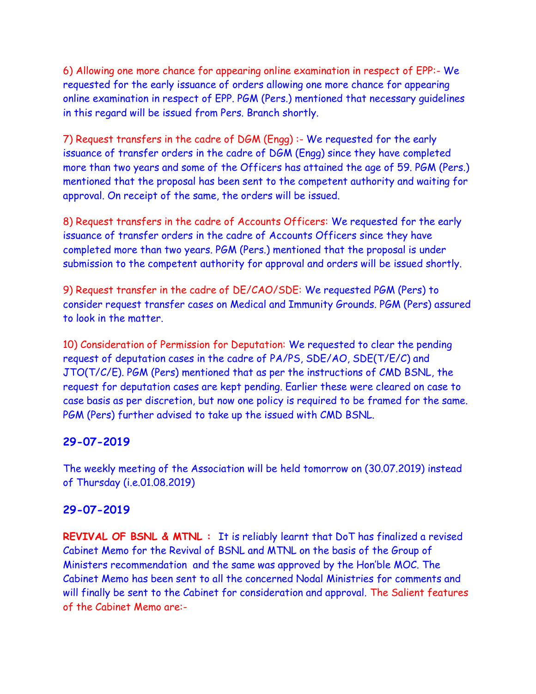6) Allowing one more chance for appearing online examination in respect of EPP:- We requested for the early issuance of orders allowing one more chance for appearing online examination in respect of EPP. PGM (Pers.) mentioned that necessary guidelines in this regard will be issued from Pers. Branch shortly.

7) Request transfers in the cadre of DGM (Engg) :- We requested for the early issuance of transfer orders in the cadre of DGM (Engg) since they have completed more than two years and some of the Officers has attained the age of 59. PGM (Pers.) mentioned that the proposal has been sent to the competent authority and waiting for approval. On receipt of the same, the orders will be issued.

8) Request transfers in the cadre of Accounts Officers: We requested for the early issuance of transfer orders in the cadre of Accounts Officers since they have completed more than two years. PGM (Pers.) mentioned that the proposal is under submission to the competent authority for approval and orders will be issued shortly.

9) Request transfer in the cadre of DE/CAO/SDE: We requested PGM (Pers) to consider request transfer cases on Medical and Immunity Grounds. PGM (Pers) assured to look in the matter.

10) Consideration of Permission for Deputation: We requested to clear the pending request of deputation cases in the cadre of PA/PS, SDE/AO, SDE(T/E/C) and JTO(T/C/E). PGM (Pers) mentioned that as per the instructions of CMD BSNL, the request for deputation cases are kept pending. Earlier these were cleared on case to case basis as per discretion, but now one policy is required to be framed for the same. PGM (Pers) further advised to take up the issued with CMD BSNL.

### **29-07-2019**

The weekly meeting of the Association will be held tomorrow on (30.07.2019) instead of Thursday (i.e.01.08.2019)

### **29-07-2019**

**REVIVAL OF BSNL & MTNL :** It is reliably learnt that DoT has finalized a revised Cabinet Memo for the Revival of BSNL and MTNL on the basis of the Group of Ministers recommendation and the same was approved by the Hon'ble MOC. The Cabinet Memo has been sent to all the concerned Nodal Ministries for comments and will finally be sent to the Cabinet for consideration and approval. The Salient features of the Cabinet Memo are:-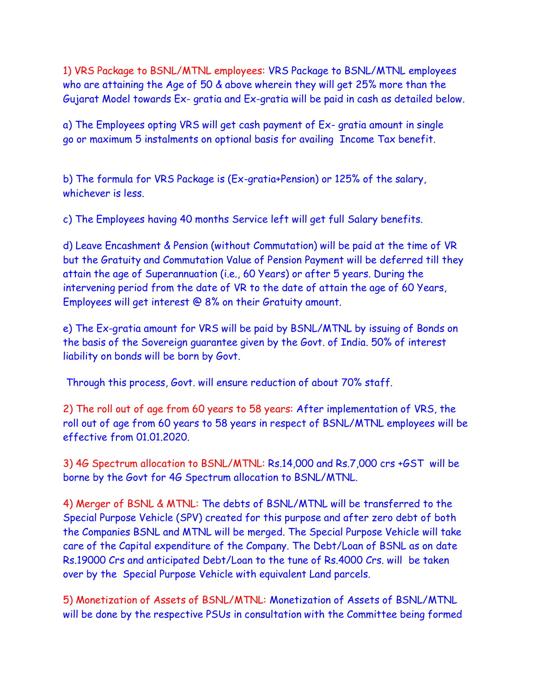1) VRS Package to BSNL/MTNL employees: VRS Package to BSNL/MTNL employees who are attaining the Age of 50 & above wherein they will get 25% more than the Gujarat Model towards Ex- gratia and Ex-gratia will be paid in cash as detailed below.

a) The Employees opting VRS will get cash payment of Ex- gratia amount in single go or maximum 5 instalments on optional basis for availing Income Tax benefit.

b) The formula for VRS Package is (Ex-gratia+Pension) or 125% of the salary, whichever is less.

c) The Employees having 40 months Service left will get full Salary benefits.

d) Leave Encashment & Pension (without Commutation) will be paid at the time of VR but the Gratuity and Commutation Value of Pension Payment will be deferred till they attain the age of Superannuation (i.e., 60 Years) or after 5 years. During the intervening period from the date of VR to the date of attain the age of 60 Years, Employees will get interest @ 8% on their Gratuity amount.

e) The Ex-gratia amount for VRS will be paid by BSNL/MTNL by issuing of Bonds on the basis of the Sovereign guarantee given by the Govt. of India. 50% of interest liability on bonds will be born by Govt.

Through this process, Govt. will ensure reduction of about 70% staff.

2) The roll out of age from 60 years to 58 years: After implementation of VRS, the roll out of age from 60 years to 58 years in respect of BSNL/MTNL employees will be effective from 01.01.2020.

3) 4G Spectrum allocation to BSNL/MTNL: Rs.14,000 and Rs.7,000 crs +GST will be borne by the Govt for 4G Spectrum allocation to BSNL/MTNL.

4) Merger of BSNL & MTNL: The debts of BSNL/MTNL will be transferred to the Special Purpose Vehicle (SPV) created for this purpose and after zero debt of both the Companies BSNL and MTNL will be merged. The Special Purpose Vehicle will take care of the Capital expenditure of the Company. The Debt/Loan of BSNL as on date Rs.19000 Crs and anticipated Debt/Loan to the tune of Rs.4000 Crs. will be taken over by the Special Purpose Vehicle with equivalent Land parcels.

5) Monetization of Assets of BSNL/MTNL: Monetization of Assets of BSNL/MTNL will be done by the respective PSUs in consultation with the Committee being formed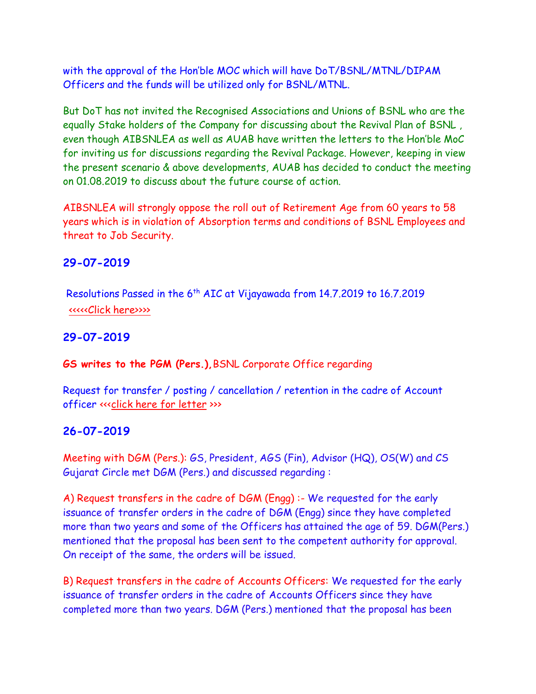with the approval of the Hon'ble MOC which will have DoT/BSNL/MTNL/DIPAM Officers and the funds will be utilized only for BSNL/MTNL.

But DoT has not invited the Recognised Associations and Unions of BSNL who are the equally Stake holders of the Company for discussing about the Revival Plan of BSNL , even though AIBSNLEA as well as AUAB have written the letters to the Hon'ble MoC for inviting us for discussions regarding the Revival Package. However, keeping in view the present scenario & above developments, AUAB has decided to conduct the meeting on 01.08.2019 to discuss about the future course of action.

AIBSNLEA will strongly oppose the roll out of Retirement Age from 60 years to 58 years which is in violation of Absorption terms and conditions of BSNL Employees and threat to Job Security.

### **29-07-2019**

Resolutions Passed in the 6<sup>th</sup> AIC at Vijayawada from 14.7.2019 to 16.7.2019 [<<<<<Click here>>>>](http://www.aibsnleachq.in/Resolution%206th%20AIC_190729.docx)

### **29-07-2019**

**GS writes to the PGM (Pers.),**BSNL Corporate Office regarding

Request for transfer / posting / cancellation / retention in the cadre of Account officer «<< click here for letter >>>

## **26-07-2019**

Meeting with DGM (Pers.): GS, President, AGS (Fin), Advisor (HQ), OS(W) and CS Gujarat Circle met DGM (Pers.) and discussed regarding :

A) Request transfers in the cadre of DGM (Engg) :- We requested for the early issuance of transfer orders in the cadre of DGM (Engg) since they have completed more than two years and some of the Officers has attained the age of 59. DGM(Pers.) mentioned that the proposal has been sent to the competent authority for approval. On receipt of the same, the orders will be issued.

B) Request transfers in the cadre of Accounts Officers: We requested for the early issuance of transfer orders in the cadre of Accounts Officers since they have completed more than two years. DGM (Pers.) mentioned that the proposal has been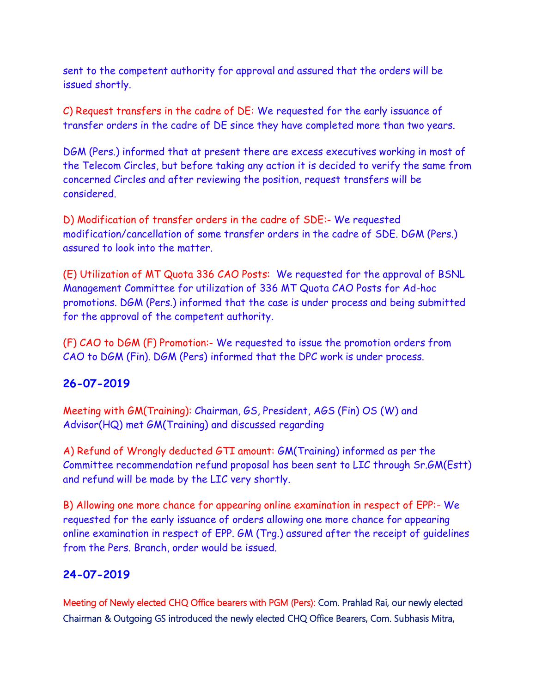sent to the competent authority for approval and assured that the orders will be issued shortly.

C) Request transfers in the cadre of DE: We requested for the early issuance of transfer orders in the cadre of DE since they have completed more than two years.

DGM (Pers.) informed that at present there are excess executives working in most of the Telecom Circles, but before taking any action it is decided to verify the same from concerned Circles and after reviewing the position, request transfers will be considered.

D) Modification of transfer orders in the cadre of SDE:- We requested modification/cancellation of some transfer orders in the cadre of SDE. DGM (Pers.) assured to look into the matter.

(E) Utilization of MT Quota 336 CAO Posts: We requested for the approval of BSNL Management Committee for utilization of 336 MT Quota CAO Posts for Ad-hoc promotions. DGM (Pers.) informed that the case is under process and being submitted for the approval of the competent authority.

(F) CAO to DGM (F) Promotion:- We requested to issue the promotion orders from CAO to DGM (Fin). DGM (Pers) informed that the DPC work is under process.

## **26-07-2019**

Meeting with GM(Training): Chairman, GS, President, AGS (Fin) OS (W) and Advisor(HQ) met GM(Training) and discussed regarding

A) Refund of Wrongly deducted GTI amount: GM(Training) informed as per the Committee recommendation refund proposal has been sent to LIC through Sr.GM(Estt) and refund will be made by the LIC very shortly.

B) Allowing one more chance for appearing online examination in respect of EPP:- We requested for the early issuance of orders allowing one more chance for appearing online examination in respect of EPP. GM (Trg.) assured after the receipt of guidelines from the Pers. Branch, order would be issued.

## **24-07-2019**

Meeting of Newly elected CHQ Office bearers with PGM (Pers): Com. Prahlad Rai, our newly elected Chairman & Outgoing GS introduced the newly elected CHQ Office Bearers, Com. Subhasis Mitra,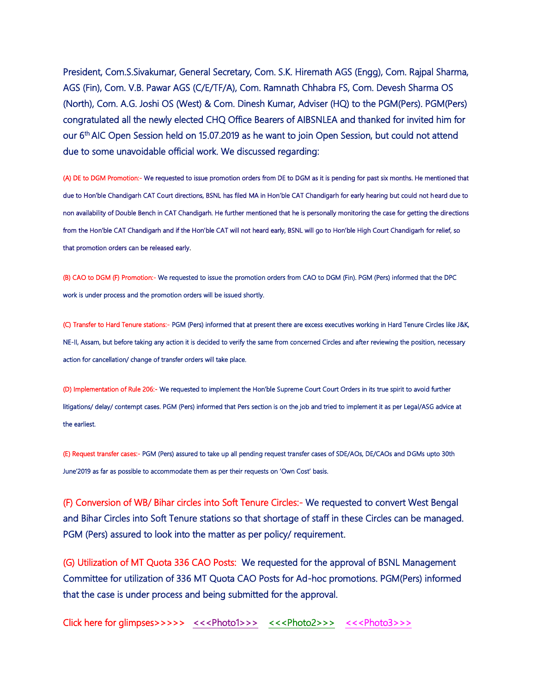President, Com.S.Sivakumar, General Secretary, Com. S.K. Hiremath AGS (Engg), Com. Rajpal Sharma, AGS (Fin), Com. V.B. Pawar AGS (C/E/TF/A), Com. Ramnath Chhabra FS, Com. Devesh Sharma OS (North), Com. A.G. Joshi OS (West) & Com. Dinesh Kumar, Adviser (HQ) to the PGM(Pers). PGM(Pers) congratulated all the newly elected CHQ Office Bearers of AIBSNLEA and thanked for invited him for our 6<sup>th</sup> AIC Open Session held on 15.07.2019 as he want to join Open Session, but could not attend due to some unavoidable official work. We discussed regarding:

(A) DE to DGM Promotion:- We requested to issue promotion orders from DE to DGM as it is pending for past six months. He mentioned that due to Hon'ble Chandigarh CAT Court directions, BSNL has filed MA in Hon'ble CAT Chandigarh for early hearing but could not heard due to non availability of Double Bench in CAT Chandigarh. He further mentioned that he is personally monitoring the case for getting the directions from the Hon'ble CAT Chandigarh and if the Hon'ble CAT will not heard early, BSNL will go to Hon'ble High Court Chandigarh for relief, so that promotion orders can be released early.

(B) CAO to DGM (F) Promotion:- We requested to issue the promotion orders from CAO to DGM (Fin). PGM (Pers) informed that the DPC work is under process and the promotion orders will be issued shortly.

(C) Transfer to Hard Tenure stations:- PGM (Pers) informed that at present there are excess executives working in Hard Tenure Circles like J&K, NE-II, Assam, but before taking any action it is decided to verify the same from concerned Circles and after reviewing the position, necessary action for cancellation/ change of transfer orders will take place.

(D) Implementation of Rule 206:- We requested to implement the Hon'ble Supreme Court Court Orders in its true spirit to avoid further litigations/ delay/ contempt cases. PGM (Pers) informed that Pers section is on the job and tried to implement it as per Legal/ASG advice at the earliest.

(E) Request transfer cases:- PGM (Pers) assured to take up all pending request transfer cases of SDE/AOs, DE/CAOs and DGMs upto 30th June'2019 as far as possible to accommodate them as per their requests on 'Own Cost' basis.

(F) Conversion of WB/ Bihar circles into Soft Tenure Circles:- We requested to convert West Bengal and Bihar Circles into Soft Tenure stations so that shortage of staff in these Circles can be managed. PGM (Pers) assured to look into the matter as per policy/ requirement.

(G) Utilization of MT Quota 336 CAO Posts: We requested for the approval of BSNL Management Committee for utilization of 336 MT Quota CAO Posts for Ad-hoc promotions. PGM(Pers) informed that the case is under process and being submitted for the approval.

Click here for glimpses>>>>> [<<<Photo1>>>](http://www.aibsnleachq.in/ecce0a7e-6ae3-46fb-bbe8-9f9f5b98d003.jpg) [<<<Photo2>>>](http://www.aibsnleachq.in/c88642f5-6741-4de3-916b-a4f658acb924.jpg) [<<<Photo3>>>](http://www.aibsnleachq.in/868b434a-dc36-4a52-93ad-196cfdc77327.jpg)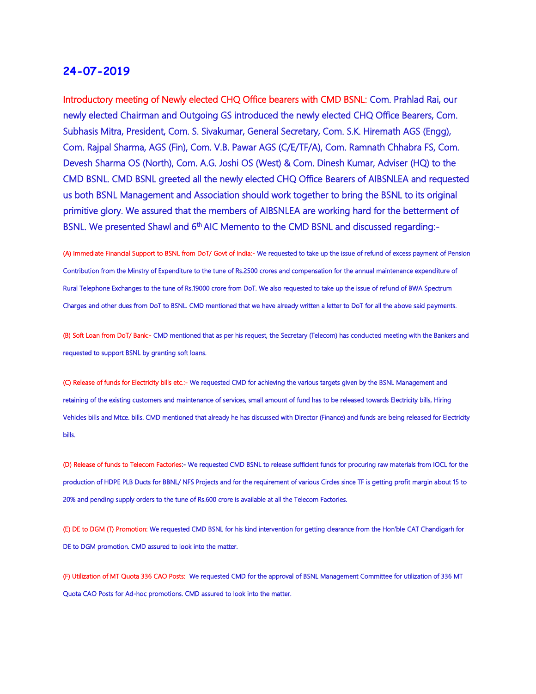#### **24-07-2019**

Introductory meeting of Newly elected CHQ Office bearers with CMD BSNL: Com. Prahlad Rai, our newly elected Chairman and Outgoing GS introduced the newly elected CHQ Office Bearers, Com. Subhasis Mitra, President, Com. S. Sivakumar, General Secretary, Com. S.K. Hiremath AGS (Engg), Com. Rajpal Sharma, AGS (Fin), Com. V.B. Pawar AGS (C/E/TF/A), Com. Ramnath Chhabra FS, Com. Devesh Sharma OS (North), Com. A.G. Joshi OS (West) & Com. Dinesh Kumar, Adviser (HQ) to the CMD BSNL. CMD BSNL greeted all the newly elected CHQ Office Bearers of AIBSNLEA and requested us both BSNL Management and Association should work together to bring the BSNL to its original primitive glory. We assured that the members of AIBSNLEA are working hard for the betterment of BSNL. We presented Shawl and 6<sup>th</sup> AIC Memento to the CMD BSNL and discussed regarding:-

(A) Immediate Financial Support to BSNL from DoT/ Govt of India:- We requested to take up the issue of refund of excess payment of Pension Contribution from the Minstry of Expenditure to the tune of Rs.2500 crores and compensation for the annual maintenance expenditure of Rural Telephone Exchanges to the tune of Rs.19000 crore from DoT. We also requested to take up the issue of refund of BWA Spectrum Charges and other dues from DoT to BSNL. CMD mentioned that we have already written a letter to DoT for all the above said payments.

(B) Soft Loan from DoT/ Bank:- CMD mentioned that as per his request, the Secretary (Telecom) has conducted meeting with the Bankers and requested to support BSNL by granting soft loans.

(C) Release of funds for Electricity bills etc.:- We requested CMD for achieving the various targets given by the BSNL Management and retaining of the existing customers and maintenance of services, small amount of fund has to be released towards Electricity bills, Hiring Vehicles bills and Mtce. bills. CMD mentioned that already he has discussed with Director (Finance) and funds are being released for Electricity bills.

(D) Release of funds to Telecom Factories:- We requested CMD BSNL to release sufficient funds for procuring raw materials from IOCL for the production of HDPE PLB Ducts for BBNL/ NFS Projects and for the requirement of various Circles since TF is getting profit margin about 15 to 20% and pending supply orders to the tune of Rs.600 crore is available at all the Telecom Factories.

(E) DE to DGM (T) Promotion: We requested CMD BSNL for his kind intervention for getting clearance from the Hon'ble CAT Chandigarh for DE to DGM promotion. CMD assured to look into the matter.

(F) Utilization of MT Quota 336 CAO Posts: We requested CMD for the approval of BSNL Management Committee for utilization of 336 MT Quota CAO Posts for Ad-hoc promotions. CMD assured to look into the matter.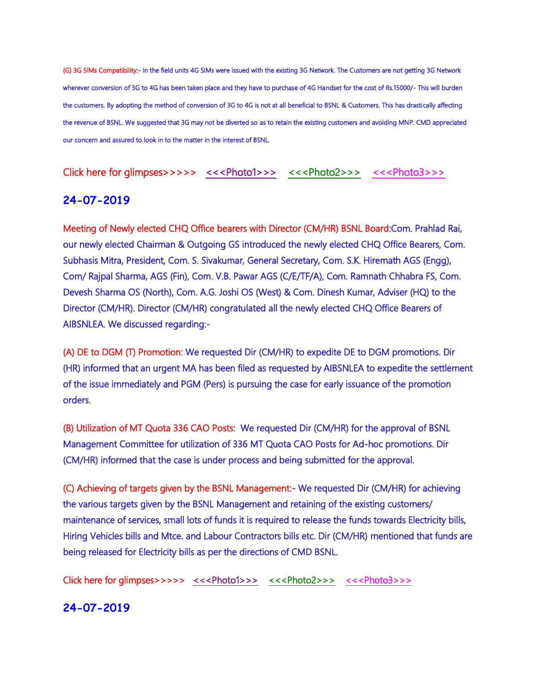(G) 3G SIMs Compatibility:- In the field units 4G SIMs were issued with the existing 3G Network. The Customers are not getting 3G Network wherever conversion of 3G to 4G has been taken place and they have to purchase of 4G Handset for the cost of Rs.15000/- This will burden the customers. By adopting the method of conversion of 3G to 4G is not at all beneficial to BSNL & Customers. This has drastically affecting the revenue of BSNL. We suggested that 3G may not be diverted so as to retain the existing customers and avoiding MNP. CMD appreciated our concern and assured to look in to the matter in the interest of BSNL.

Click here for glimpses>>>>> [<<<Photo1>>>](http://www.aibsnleachq.in/c6a72543-9b53-4e8a-bc53-7cbfd5ae2b9e.jpg) [<<<Photo2>>>](http://www.aibsnleachq.in/83318435-d975-4750-83a3-fa5cdb745b23.jpg) <<<Photo2>>>>>>>> [<<<Photo3>>>](http://www.aibsnleachq.in/c08671a8-3a20-4697-8199-da9966a1e6e6.jpg)>

#### **24-07-2019**

Meeting of Newly elected CHQ Office bearers with Director (CM/HR) BSNL Board:Com. Prahlad Rai, our newly elected Chairman & Outgoing GS introduced the newly elected CHQ Office Bearers, Com. Subhasis Mitra, President, Com. S. Sivakumar, General Secretary, Com. S.K. Hiremath AGS (Engg), Com/ Rajpal Sharma, AGS (Fin), Com. V.B. Pawar AGS (C/E/TF/A), Com. Ramnath Chhabra FS, Com. Devesh Sharma OS (North), Com. A.G. Joshi OS (West) & Com. Dinesh Kumar, Adviser (HQ) to the Director (CM/HR). Director (CM/HR) congratulated all the newly elected CHQ Office Bearers of AIBSNLEA. We discussed regarding:-

(A) DE to DGM (T) Promotion: We requested Dir (CM/HR) to expedite DE to DGM promotions. Dir (HR) informed that an urgent MA has been filed as requested by AIBSNLEA to expedite the settlement of the issue immediately and PGM (Pers) is pursuing the case for early issuance of the promotion orders.

(B) Utilization of MT Quota 336 CAO Posts: We requested Dir (CM/HR) for the approval of BSNL Management Committee for utilization of 336 MT Quota CAO Posts for Ad-hoc promotions. Dir (CM/HR) informed that the case is under process and being submitted for the approval.

(C) Achieving of targets given by the BSNL Management:- We requested Dir (CM/HR) for achieving the various targets given by the BSNL Management and retaining of the existing customers/ maintenance of services, small lots of funds it is required to release the funds towards Electricity bills, Hiring Vehicles bills and Mtce. and Labour Contractors bills etc. Dir (CM/HR) mentioned that funds are being released for Electricity bills as per the directions of CMD BSNL.

Click here for glimpses>>>>> [<<<Photo1>>>](http://www.aibsnleachq.in/957d6f97-8763-4808-aec5-baac91d424f8.jpg) [<<<Photo2>>>](http://www.aibsnleachq.in/bbdb3b28-016d-4ca0-82f9-dfcf38682394.jpg) <<<Photo2>>>>>>>> <

#### **24-07-2019**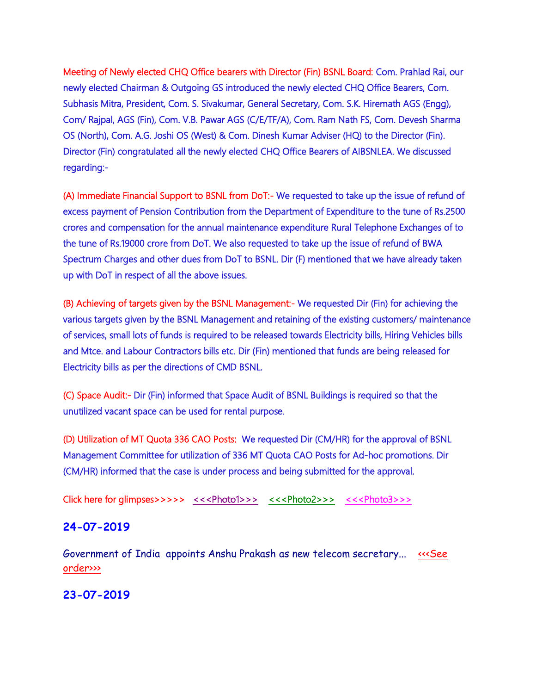Meeting of Newly elected CHQ Office bearers with Director (Fin) BSNL Board: Com. Prahlad Rai, our newly elected Chairman & Outgoing GS introduced the newly elected CHQ Office Bearers, Com. Subhasis Mitra, President, Com. S. Sivakumar, General Secretary, Com. S.K. Hiremath AGS (Engg), Com/ Rajpal, AGS (Fin), Com. V.B. Pawar AGS (C/E/TF/A), Com. Ram Nath FS, Com. Devesh Sharma OS (North), Com. A.G. Joshi OS (West) & Com. Dinesh Kumar Adviser (HQ) to the Director (Fin). Director (Fin) congratulated all the newly elected CHQ Office Bearers of AIBSNLEA. We discussed regarding:-

(A) Immediate Financial Support to BSNL from DoT:- We requested to take up the issue of refund of excess payment of Pension Contribution from the Department of Expenditure to the tune of Rs.2500 crores and compensation for the annual maintenance expenditure Rural Telephone Exchanges of to the tune of Rs.19000 crore from DoT. We also requested to take up the issue of refund of BWA Spectrum Charges and other dues from DoT to BSNL. Dir (F) mentioned that we have already taken up with DoT in respect of all the above issues.

(B) Achieving of targets given by the BSNL Management:- We requested Dir (Fin) for achieving the various targets given by the BSNL Management and retaining of the existing customers/ maintenance of services, small lots of funds is required to be released towards Electricity bills, Hiring Vehicles bills and Mtce. and Labour Contractors bills etc. Dir (Fin) mentioned that funds are being released for Electricity bills as per the directions of CMD BSNL.

(C) Space Audit:- Dir (Fin) informed that Space Audit of BSNL Buildings is required so that the unutilized vacant space can be used for rental purpose.

(D) Utilization of MT Quota 336 CAO Posts: We requested Dir (CM/HR) for the approval of BSNL Management Committee for utilization of 336 MT Quota CAO Posts for Ad-hoc promotions. Dir (CM/HR) informed that the case is under process and being submitted for the approval.

Click here for glimpses>>>>> [<<<Photo1>>>](http://www.aibsnleachq.in/57682860-8a52-4d42-96e3-aed5242394da.jpg) [<<<Photo2>>>](http://www.aibsnleachq.in/599cf72d-14d8-45bd-aba2-70297919865e.jpg) <<<Photo2>>>>>>>> [<<<Photo3>>>](http://www.aibsnleachq.in/24b26faa-9ce5-4c13-9f83-af641a22a52d.jpg)>

#### **24-07-2019**

Government of India appoints Anshu Prakash as new telecom secretary... [<<<See](http://www.aibsnleachq.in/OrdSy-2019-07-243ETOx.pdf)  [order>>>](http://www.aibsnleachq.in/OrdSy-2019-07-243ETOx.pdf)

#### **23-07-2019**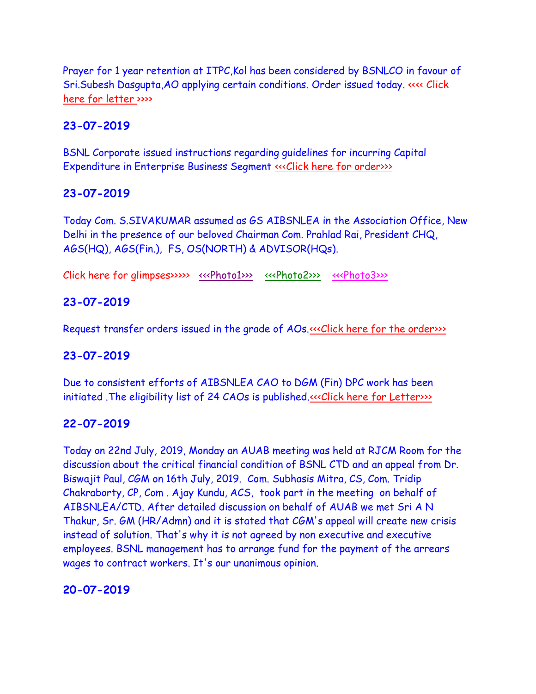Prayer for 1 year retention at ITPC,Kol has been considered by BSNLCO in favour of Sri.Subesh Dasgupta,AO applying certain conditions. Order issued today. <<<< [Click](letter%20dt%202019-07-23.pdf)  [here for letter >](letter%20dt%202019-07-23.pdf)>>>

## **23-07-2019**

BSNL Corporate issued instructions regarding guidelines for incurring Capital Expenditure in Enterprise Business Segment «<< Click here for order>>>

# **23-07-2019**

Today Com. S.SIVAKUMAR assumed as GS AIBSNLEA in the Association Office, New Delhi in the presence of our beloved Chairman Com. Prahlad Rai, President CHQ, AGS(HQ), AGS(Fin.), FS, OS(NORTH) & ADVISOR(HQs).

Click here for glimpses>>>> [<<<Photo1>>>](http://www.aibsnleachq.in/d9e393c7-338a-43aa-b7e1-311e6704252d.jpg) [<<<Photo2>>>](http://www.aibsnleachq.in/fe683fc9-bf32-4204-978b-97f2f3325744.jpg) [<<<Photo3>>>](http://www.aibsnleachq.in/7efac5eb-b3bd-44aa-ba21-91b8a58facb4.jpg)>>>>>

## **23-07-2019**

Request transfer orders issued in the grade of AOs.«<<Click here for the order>>>>

## **23-07-2019**

Due to consistent efforts of AIBSNLEA CAO to DGM (Fin) DPC work has been initiated .The eligibility list of 24 CAOs is published.«<<Click here for Letter>>>>

## **22-07-2019**

Today on 22nd July, 2019, Monday an AUAB meeting was held at RJCM Room for the discussion about the critical financial condition of BSNL CTD and an appeal from Dr. Biswajit Paul, CGM on 16th July, 2019. Com. Subhasis Mitra, CS, Com. Tridip Chakraborty, CP, Com . Ajay Kundu, ACS, took part in the meeting on behalf of AIBSNLEA/CTD. After detailed discussion on behalf of AUAB we met Sri A N Thakur, Sr. GM (HR/Admn) and it is stated that CGM's appeal will create new crisis instead of solution. That's why it is not agreed by non executive and executive employees. BSNL management has to arrange fund for the payment of the arrears wages to contract workers. It's our unanimous opinion.

## **20-07-2019**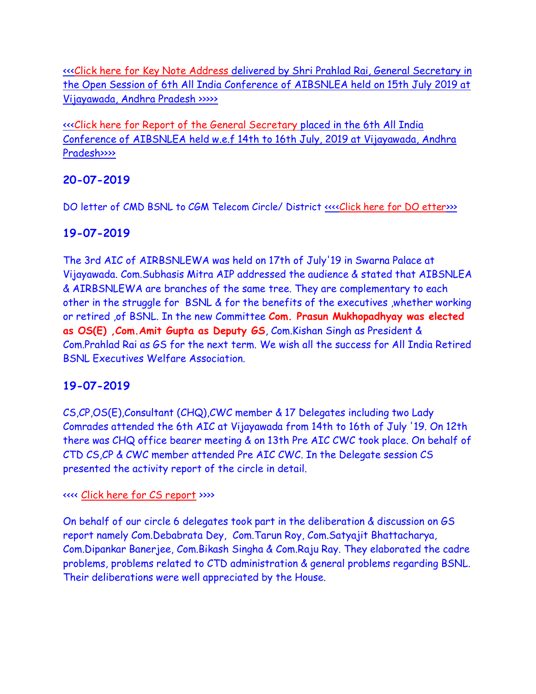<<<Click here for Key Note Address [delivered by Shri Prahlad Rai, General Secretary in](http://www.aibsnleachq.in/key%20note_vijayawada%20corrected%2008072019.pdf)  [the Open Session of 6th All India Conference](http://www.aibsnleachq.in/key%20note_vijayawada%20corrected%2008072019.pdf) of AIBSNLEA held on 15th July 2019 at [Vijayawada, Andhra Pradesh >>>>>](http://www.aibsnleachq.in/key%20note_vijayawada%20corrected%2008072019.pdf)

<<<Click here for [Report of the General Secretary](http://www.aibsnleachq.in/GS%20Report%20Final_Vijayawada.pdf) placed in the 6th All India [Conference of AIBSNLEA held w.e.f 14th to 16th July, 2019 at Vijayawada, Andhra](http://www.aibsnleachq.in/GS%20Report%20Final_Vijayawada.pdf)  [Pradesh>>>>](http://www.aibsnleachq.in/GS%20Report%20Final_Vijayawada.pdf)

# **20-07-2019**

DO letter of CMD BSNL to CGM Telecom Circle/ District [<<<<Click here for DO etter>>>](http://www.aibsnleachq.in/CMD%20letter%2016-07-2019.pdf)

# **19-07-2019**

The 3rd AIC of AIRBSNLEWA was held on 17th of July'19 in Swarna Palace at Vijayawada. Com.Subhasis Mitra AIP addressed the audience & stated that AIBSNLEA & AIRBSNLEWA are branches of the same tree. They are complementary to each other in the struggle for BSNL & for the benefits of the executives ,whether working or retired ,of BSNL. In the new Committee **Com. Prasun Mukhopadhyay was elected as OS(E) ,Com.Amit Gupta as Deputy GS**, Com.Kishan Singh as President & Com.Prahlad Rai as GS for the next term. We wish all the success for All India Retired BSNL Executives Welfare Association.

# **19-07-2019**

CS,CP,OS(E),Consultant (CHQ),CWC member & 17 Delegates including two Lady Comrades attended the 6th AIC at Vijayawada from 14th to 16th of July '19. On 12th there was CHQ office bearer meeting & on 13th Pre AIC CWC took place. On behalf of CTD CS,CP & CWC member attended Pre AIC CWC. In the Delegate session CS presented the activity report of the circle in detail.

## <<<< [Click here for CS report](CS_%206th%20AIC.pdf) >>>>

On behalf of our circle 6 delegates took part in the deliberation & discussion on GS report namely Com.Debabrata Dey, Com.Tarun Roy, Com.Satyajit Bhattacharya, Com.Dipankar Banerjee, Com.Bikash Singha & Com.Raju Ray. They elaborated the cadre problems, problems related to CTD administration & general problems regarding BSNL. Their deliberations were well appreciated by the House.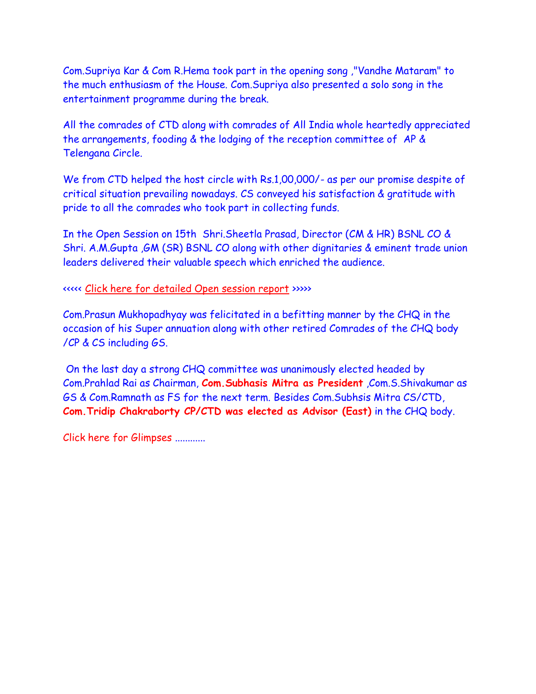Com.Supriya Kar & Com R.Hema took part in the opening song ,"Vandhe Mataram" to the much enthusiasm of the House. Com.Supriya also presented a solo song in the entertainment programme during the break.

All the comrades of CTD along with comrades of All India whole heartedly appreciated the arrangements, fooding & the lodging of the reception committee of AP & Telengana Circle.

We from CTD helped the host circle with Rs.1,00,000/- as per our promise despite of critical situation prevailing nowadays. CS conveyed his satisfaction & gratitude with pride to all the comrades who took part in collecting funds.

In the Open Session on 15th Shri.Sheetla Prasad, Director (CM & HR) BSNL CO & Shri. A.M.Gupta ,GM (SR) BSNL CO along with other dignitaries & eminent trade union leaders delivered their valuable speech which enriched the audience.

<<<<< [Click here for detailed Open session report](AIC%20Open%20session_15072019.pdf) >>>>>

Com.Prasun Mukhopadhyay was felicitated in a befitting manner by the CHQ in the occasion of his Super annuation along with other retired Comrades of the CHQ body /CP & CS including GS.

On the last day a strong CHQ committee was unanimously elected headed by Com.Prahlad Rai as Chairman, **Com.Subhasis Mitra as President** ,Com.S.Shivakumar as GS & Com.Ramnath as FS for the next term. Besides Com.Subhsis Mitra CS/CTD, **Com.Tridip Chakraborty CP/CTD was elected as Advisor (East)** in the CHQ body.

Click here for Glimpses ............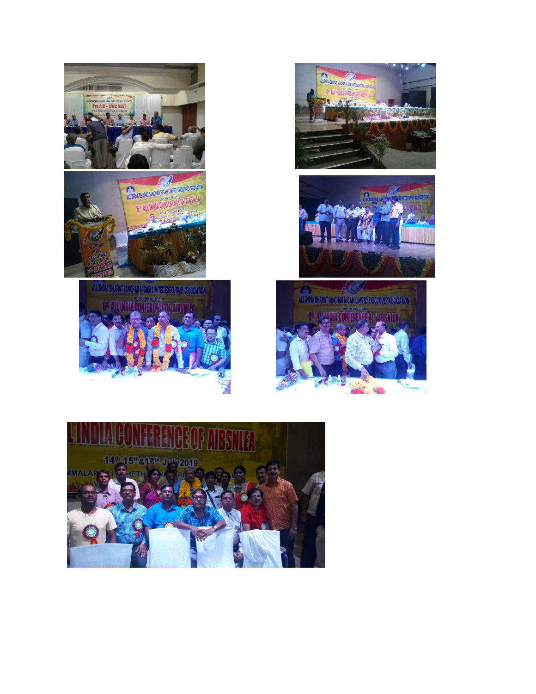









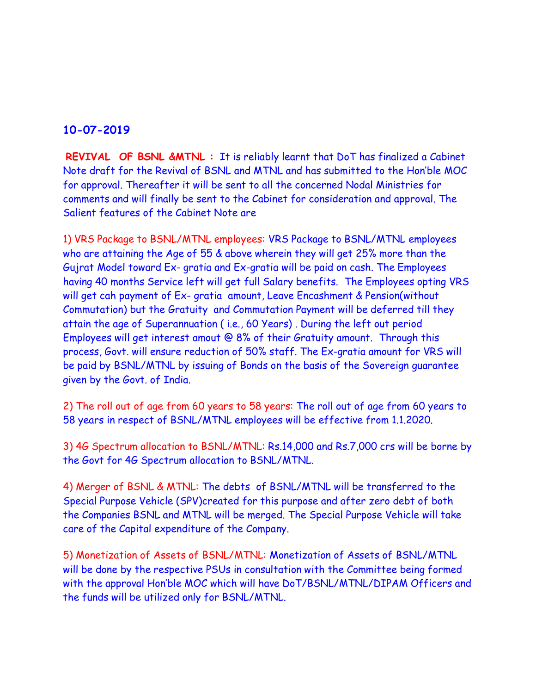### **10-07-2019**

**REVIVAL OF BSNL &MTNL :** It is reliably learnt that DoT has finalized a Cabinet Note draft for the Revival of BSNL and MTNL and has submitted to the Hon'ble MOC for approval. Thereafter it will be sent to all the concerned Nodal Ministries for comments and will finally be sent to the Cabinet for consideration and approval. The Salient features of the Cabinet Note are

1) VRS Package to BSNL/MTNL employees: VRS Package to BSNL/MTNL employees who are attaining the Age of 55 & above wherein they will get 25% more than the Gujrat Model toward Ex- gratia and Ex-gratia will be paid on cash. The Employees having 40 months Service left will get full Salary benefits. The Employees opting VRS will get cah payment of Ex- gratia amount, Leave Encashment & Pension(without Commutation) but the Gratuity and Commutation Payment will be deferred till they attain the age of Superannuation ( i.e., 60 Years) . During the left out period Employees will get interest amout @ 8% of their Gratuity amount. Through this process, Govt. will ensure reduction of 50% staff. The Ex-gratia amount for VRS will be paid by BSNL/MTNL by issuing of Bonds on the basis of the Sovereign guarantee given by the Govt. of India.

2) The roll out of age from 60 years to 58 years: The roll out of age from 60 years to 58 years in respect of BSNL/MTNL employees will be effective from 1.1.2020.

3) 4G Spectrum allocation to BSNL/MTNL: Rs.14,000 and Rs.7,000 crs will be borne by the Govt for 4G Spectrum allocation to BSNL/MTNL.

4) Merger of BSNL & MTNL: The debts of BSNL/MTNL will be transferred to the Special Purpose Vehicle (SPV)created for this purpose and after zero debt of both the Companies BSNL and MTNL will be merged. The Special Purpose Vehicle will take care of the Capital expenditure of the Company.

5) Monetization of Assets of BSNL/MTNL: Monetization of Assets of BSNL/MTNL will be done by the respective PSUs in consultation with the Committee being formed with the approval Hon'ble MOC which will have DoT/BSNL/MTNL/DIPAM Officers and the funds will be utilized only for BSNL/MTNL.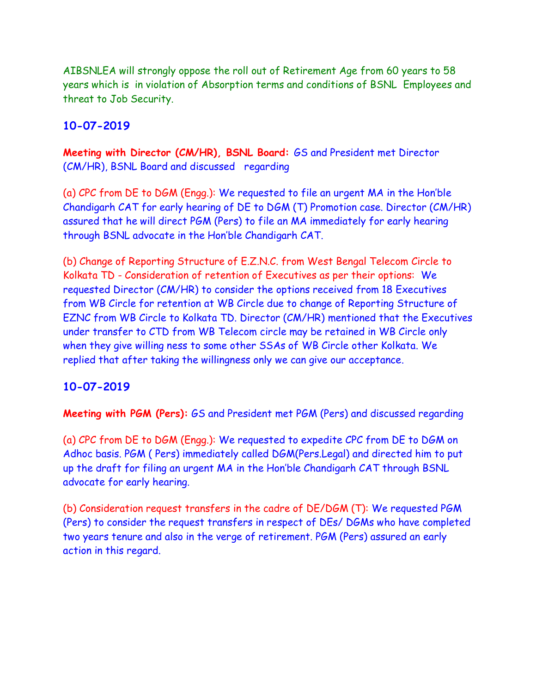AIBSNLEA will strongly oppose the roll out of Retirement Age from 60 years to 58 years which is in violation of Absorption terms and conditions of BSNL Employees and threat to Job Security.

## **10-07-2019**

**Meeting with Director (CM/HR), BSNL Board:** GS and President met Director (CM/HR), BSNL Board and discussed regarding

(a) CPC from DE to DGM (Engg.): We requested to file an urgent MA in the Hon'ble Chandigarh CAT for early hearing of DE to DGM (T) Promotion case. Director (CM/HR) assured that he will direct PGM (Pers) to file an MA immediately for early hearing through BSNL advocate in the Hon'ble Chandigarh CAT.

(b) Change of Reporting Structure of E.Z.N.C. from West Bengal Telecom Circle to Kolkata TD - Consideration of retention of Executives as per their options: We requested Director (CM/HR) to consider the options received from 18 Executives from WB Circle for retention at WB Circle due to change of Reporting Structure of EZNC from WB Circle to Kolkata TD. Director (CM/HR) mentioned that the Executives under transfer to CTD from WB Telecom circle may be retained in WB Circle only when they give willing ness to some other SSAs of WB Circle other Kolkata. We replied that after taking the willingness only we can give our acceptance.

## **10-07-2019**

**Meeting with PGM (Pers):** GS and President met PGM (Pers) and discussed regarding

(a) CPC from DE to DGM (Engg.): We requested to expedite CPC from DE to DGM on Adhoc basis. PGM ( Pers) immediately called DGM(Pers.Legal) and directed him to put up the draft for filing an urgent MA in the Hon'ble Chandigarh CAT through BSNL advocate for early hearing.

(b) Consideration request transfers in the cadre of DE/DGM (T): We requested PGM (Pers) to consider the request transfers in respect of DEs/ DGMs who have completed two years tenure and also in the verge of retirement. PGM (Pers) assured an early action in this regard.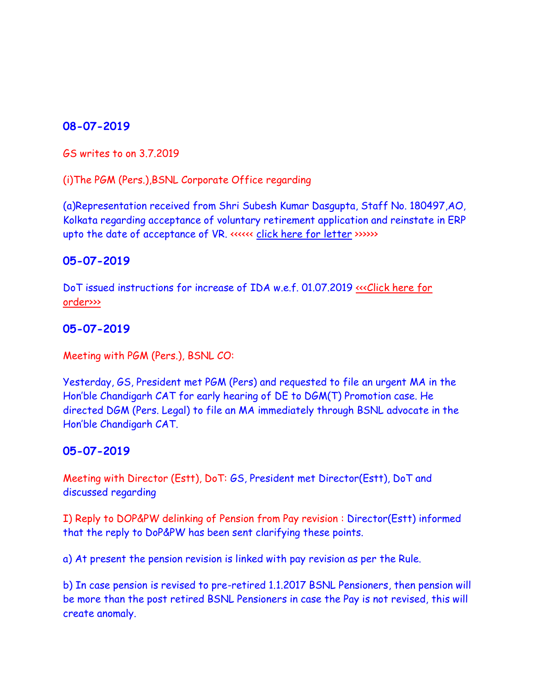## **08-07-2019**

GS writes to on 3.7.2019

(i)The PGM (Pers.),BSNL Corporate Office regarding

(a)Representation received from Shri Subesh Kumar Dasgupta, Staff No. 180497,AO, Kolkata regarding acceptance of voluntary retirement application and reinstate in ERP upto the date of acceptance of VR. <<<<<< [click here for letter](letter%20dt%2003072019.pdf) >>>>>>

### **05-07-2019**

DoT issued instructions for increase of IDA w.e.f. 01.07.2019 [<<<Click here for](http://www.aibsnleachq.in/69f28f78-ee49.pdf)  [order>>>](http://www.aibsnleachq.in/69f28f78-ee49.pdf)

### **05-07-2019**

Meeting with PGM (Pers.), BSNL CO:

Yesterday, GS, President met PGM (Pers) and requested to file an urgent MA in the Hon'ble Chandigarh CAT for early hearing of DE to DGM(T) Promotion case. He directed DGM (Pers. Legal) to file an MA immediately through BSNL advocate in the Hon'ble Chandigarh CAT.

### **05-07-2019**

Meeting with Director (Estt), DoT: GS, President met Director(Estt), DoT and discussed regarding

I) Reply to DOP&PW delinking of Pension from Pay revision : Director(Estt) informed that the reply to DoP&PW has been sent clarifying these points.

a) At present the pension revision is linked with pay revision as per the Rule.

b) In case pension is revised to pre-retired 1.1.2017 BSNL Pensioners, then pension will be more than the post retired BSNL Pensioners in case the Pay is not revised, this will create anomaly.